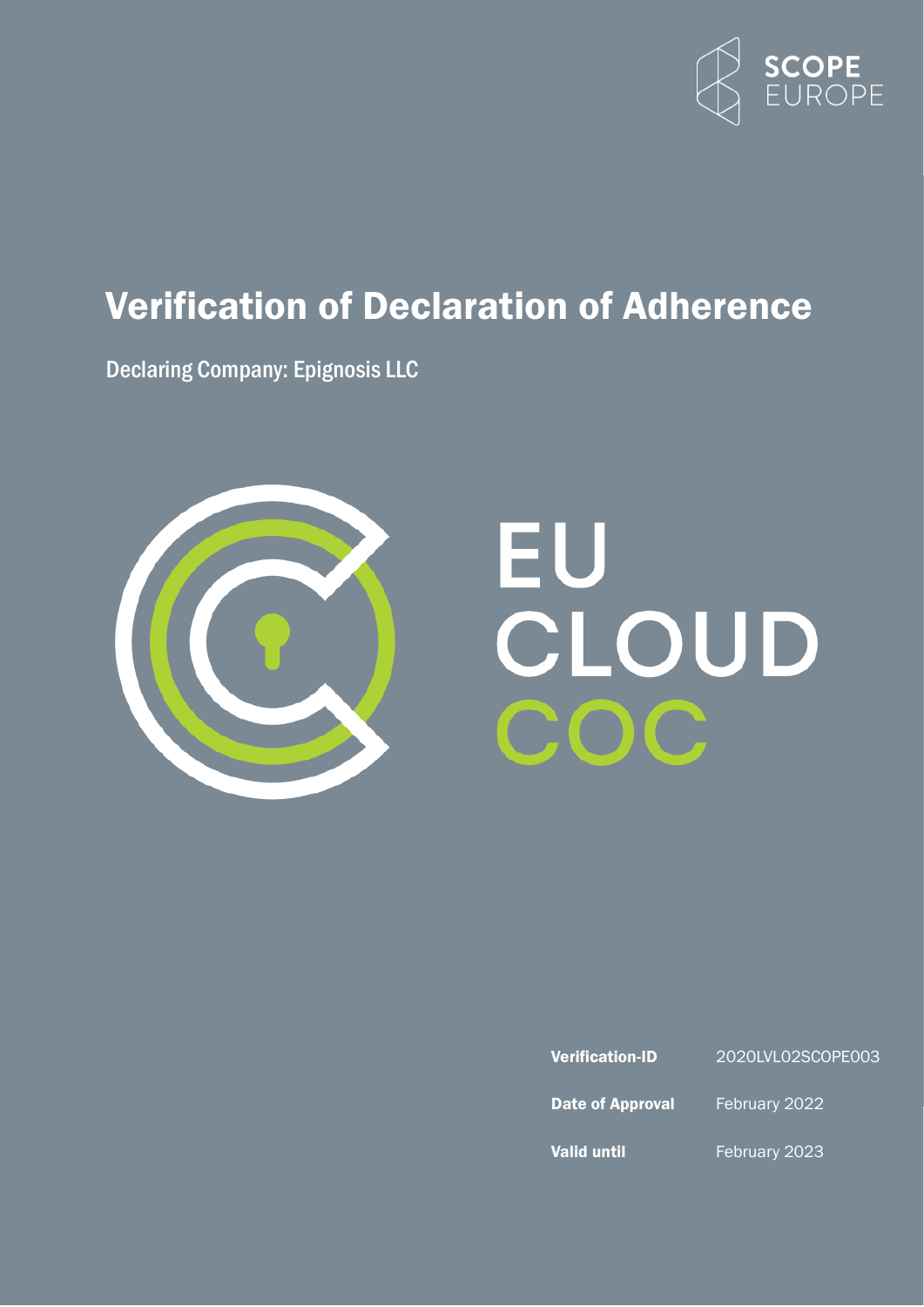

# <span id="page-0-0"></span>Verification of Declaration of Adherence

Declaring Company: Epignosis LLC



# EU<br>CLOUD OC

| <b>Verification-ID</b> |  |
|------------------------|--|
|                        |  |

2020LVL02SCOPE003

Date of Approval February 2022

Valid until February 2023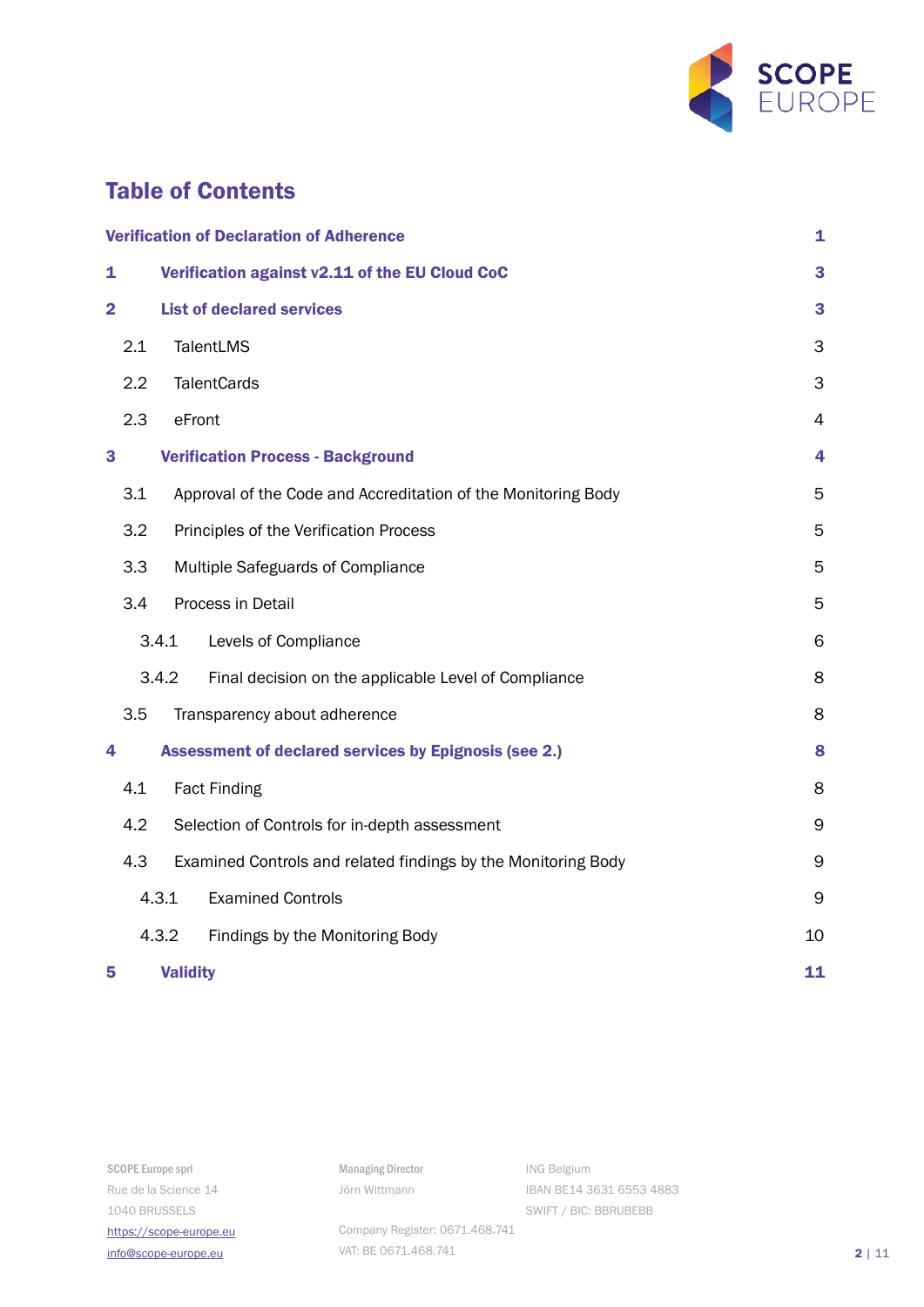

# Table of Contents

| <b>Verification of Declaration of Adherence</b> |                                                                      | 1               |                                                               |    |
|-------------------------------------------------|----------------------------------------------------------------------|-----------------|---------------------------------------------------------------|----|
| $\mathbf{1}$                                    | Verification against v2.11 of the EU Cloud CoC                       |                 | 3                                                             |    |
| $\overline{2}$                                  | <b>List of declared services</b>                                     |                 | 3                                                             |    |
| 2.1                                             |                                                                      |                 | TalentLMS                                                     | 3  |
|                                                 | 2.2<br><b>TalentCards</b>                                            |                 |                                                               | 3  |
| 2.3                                             | eFront                                                               |                 | $\overline{4}$                                                |    |
| 3                                               | <b>Verification Process - Background</b>                             |                 | 4                                                             |    |
|                                                 | 3.1<br>Approval of the Code and Accreditation of the Monitoring Body |                 | 5                                                             |    |
|                                                 | 3.2<br>Principles of the Verification Process                        |                 | 5                                                             |    |
|                                                 | 3.3<br>Multiple Safeguards of Compliance                             |                 | 5                                                             |    |
| 3.4                                             |                                                                      |                 | Process in Detail                                             | 5  |
| 3.4.1<br>Levels of Compliance                   |                                                                      | 6               |                                                               |    |
| 3.4.2                                           |                                                                      |                 | Final decision on the applicable Level of Compliance          | 8  |
| 3.5                                             |                                                                      |                 | Transparency about adherence                                  | 8  |
| 4                                               | <b>Assessment of declared services by Epignosis (see 2.)</b>         |                 | 8                                                             |    |
|                                                 | 4.1<br><b>Fact Finding</b>                                           |                 | 8                                                             |    |
|                                                 | 4.2<br>Selection of Controls for in-depth assessment                 |                 | 9                                                             |    |
| 4.3                                             |                                                                      |                 | Examined Controls and related findings by the Monitoring Body | 9  |
| 4.3.1<br><b>Examined Controls</b>               |                                                                      | 9               |                                                               |    |
|                                                 | 4.3.2                                                                |                 | Findings by the Monitoring Body                               | 10 |
| 5                                               |                                                                      | <b>Validity</b> |                                                               | 11 |

Managing Director Jörn Wittmann

ING Belgium IBAN BE14 3631 6553 4883 SWIFT / BIC: BBRUBEBB

Company Register: 0671.468.741 VAT: BE 0671.468.741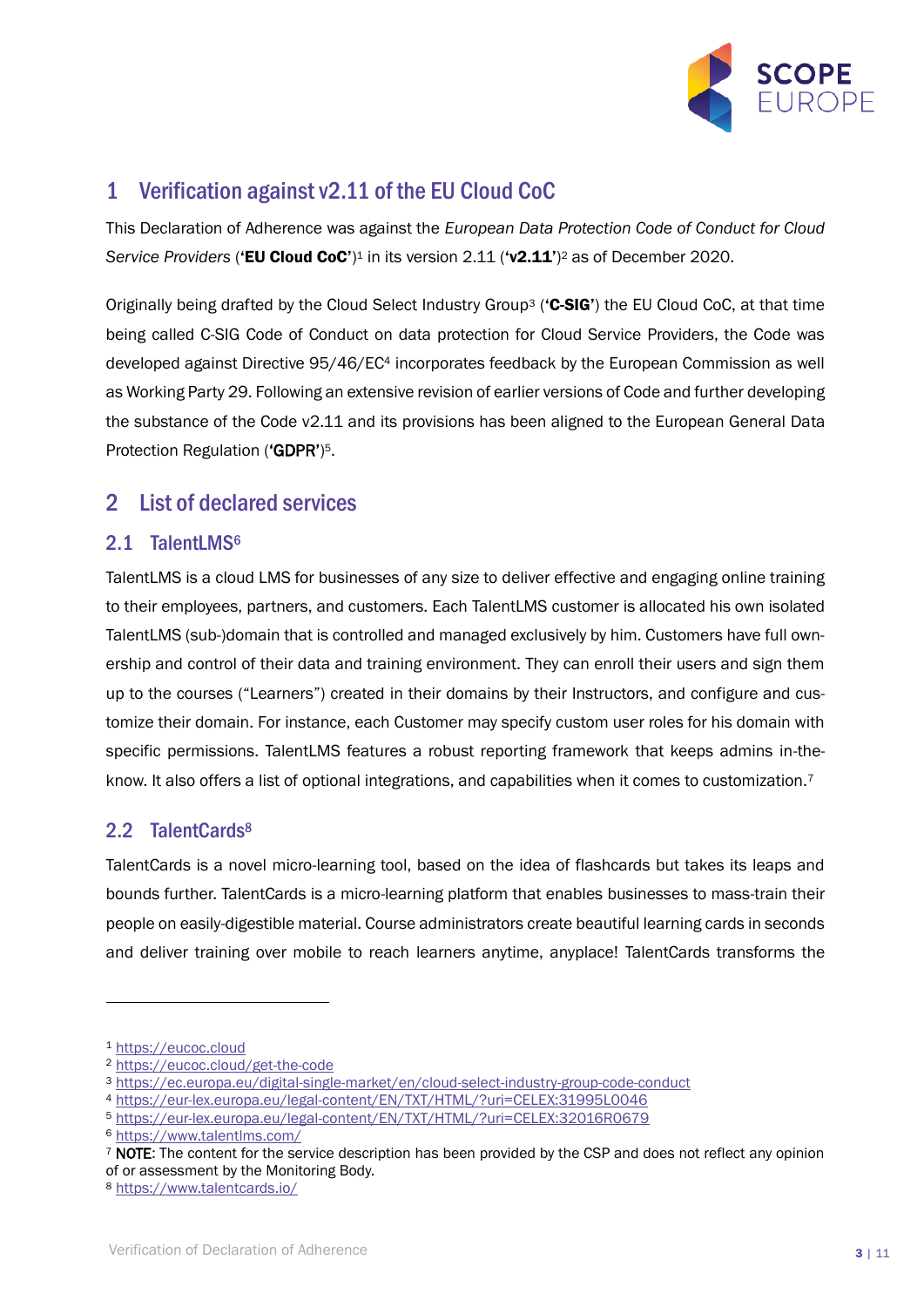

# <span id="page-2-0"></span>1 Verification against v2.11 of the EU Cloud CoC

This Declaration of Adherence was against the *European Data Protection Code of Conduct for Cloud*  Service Providers ('EU Cloud CoC')<sup>1</sup> in its version 2.11 ('v2.11')<sup>2</sup> as of December 2020.

Originally being drafted by the Cloud Select Industry Group<sup>3</sup> (**'C-SIG'**) the EU Cloud CoC, at that time being called C-SIG Code of Conduct on data protection for Cloud Service Providers, the Code was developed against Directive 95/46/EC<sup>4</sup> incorporates feedback by the European Commission as well as Working Party 29. Following an extensive revision of earlier versions of Code and further developing the substance of the Code v2.11 and its provisions has been aligned to the European General Data Protection Regulation ('GDPR')<sup>5</sup>.

# <span id="page-2-1"></span>2 List of declared services

#### <span id="page-2-2"></span>2.1 TalentLMS<sup>6</sup>

TalentLMS is a cloud LMS for businesses of any size to deliver effective and engaging online training to their employees, partners, and customers. Each TalentLMS customer is allocated his own isolated TalentLMS (sub-)domain that is controlled and managed exclusively by him. Customers have full ownership and control of their data and training environment. They can enroll their users and sign them up to the courses ("Learners") created in their domains by their Instructors, and configure and customize their domain. For instance, each Customer may specify custom user roles for his domain with specific permissions. TalentLMS features a robust reporting framework that keeps admins in-theknow. It also offers a list of optional integrations, and capabilities when it comes to customization.<sup>7</sup>

# <span id="page-2-3"></span>2.2 TalentCards<sup>8</sup>

TalentCards is a novel micro-learning tool, based on the idea of flashcards but takes its leaps and bounds further. TalentCards is a micro-learning platform that enables businesses to mass-train their people on easily-digestible material. Course administrators create beautiful learning cards in seconds and deliver training over mobile to reach learners anytime, anyplace! TalentCards transforms the

<sup>1</sup> [https://eucoc.cloud](https://eucoc.cloud/)

<sup>2</sup> <https://eucoc.cloud/get-the-code>

<sup>3</sup> <https://ec.europa.eu/digital-single-market/en/cloud-select-industry-group-code-conduct>

<sup>4</sup> <https://eur-lex.europa.eu/legal-content/EN/TXT/HTML/?uri=CELEX:31995L0046>

<sup>5</sup> [https://eur-lex.europa.eu/legal-content/EN/TXT/HTML/?uri=CELEX:32016R0679](https://eur-lex.europa.eu/legal-content/EN/TXT/HTML/?uri=CELEX:32016R0679&from=EN)

<sup>6</sup> <https://www.talentlms.com/>

<sup>7</sup> NOTE: The content for the service description has been provided by the CSP and does not reflect any opinion of or assessment by the Monitoring Body.

<sup>8</sup> <https://www.talentcards.io/>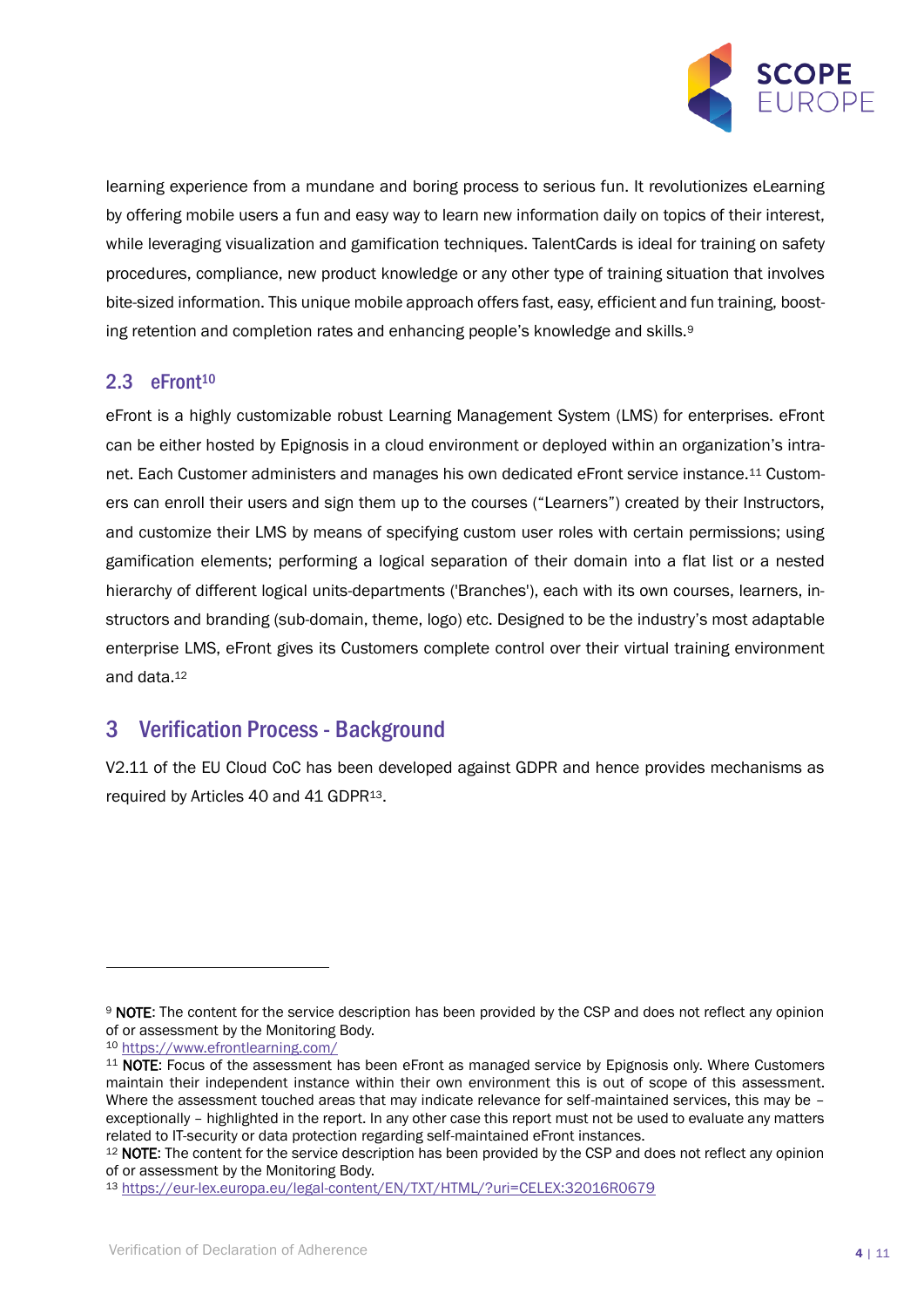

learning experience from a mundane and boring process to serious fun. It revolutionizes eLearning by offering mobile users a fun and easy way to learn new information daily on topics of their interest, while leveraging visualization and gamification techniques. TalentCards is ideal for training on safety procedures, compliance, new product knowledge or any other type of training situation that involves bite-sized information. This unique mobile approach offers fast, easy, efficient and fun training, boosting retention and completion rates and enhancing people's knowledge and skills.<sup>9</sup>

#### <span id="page-3-0"></span>2.3 eFront<sup>10</sup>

eFront is a highly customizable robust Learning Management System (LMS) for enterprises. eFront can be either hosted by Epignosis in a cloud environment or deployed within an organization's intranet. Each Customer administers and manages his own dedicated eFront service instance.<sup>11</sup> Customers can enroll their users and sign them up to the courses ("Learners") created by their Instructors, and customize their LMS by means of specifying custom user roles with certain permissions; using gamification elements; performing a logical separation of their domain into a flat list or a nested hierarchy of different logical units-departments ('Branches'), each with its own courses, learners, instructors and branding (sub-domain, theme, logo) etc. Designed to be the industry's most adaptable enterprise LMS, eFront gives its Customers complete control over their virtual training environment and data.<sup>12</sup>

# <span id="page-3-1"></span>3 Verification Process - Background

V2.11 of the EU Cloud CoC has been developed against GDPR and hence provides mechanisms as required by Articles 40 and 41 GDPR13.

<sup>9</sup> NOTE: The content for the service description has been provided by the CSP and does not reflect any opinion of or assessment by the Monitoring Body.

<sup>10</sup> <https://www.efrontlearning.com/>

<sup>&</sup>lt;sup>11</sup> NOTE: Focus of the assessment has been eFront as managed service by Epignosis only. Where Customers maintain their independent instance within their own environment this is out of scope of this assessment. Where the assessment touched areas that may indicate relevance for self-maintained services, this may be – exceptionally – highlighted in the report. In any other case this report must not be used to evaluate any matters related to IT-security or data protection regarding self-maintained eFront instances.

<sup>&</sup>lt;sup>12</sup> NOTE: The content for the service description has been provided by the CSP and does not reflect any opinion of or assessment by the Monitoring Body.

<sup>13</sup> <https://eur-lex.europa.eu/legal-content/EN/TXT/HTML/?uri=CELEX:32016R0679>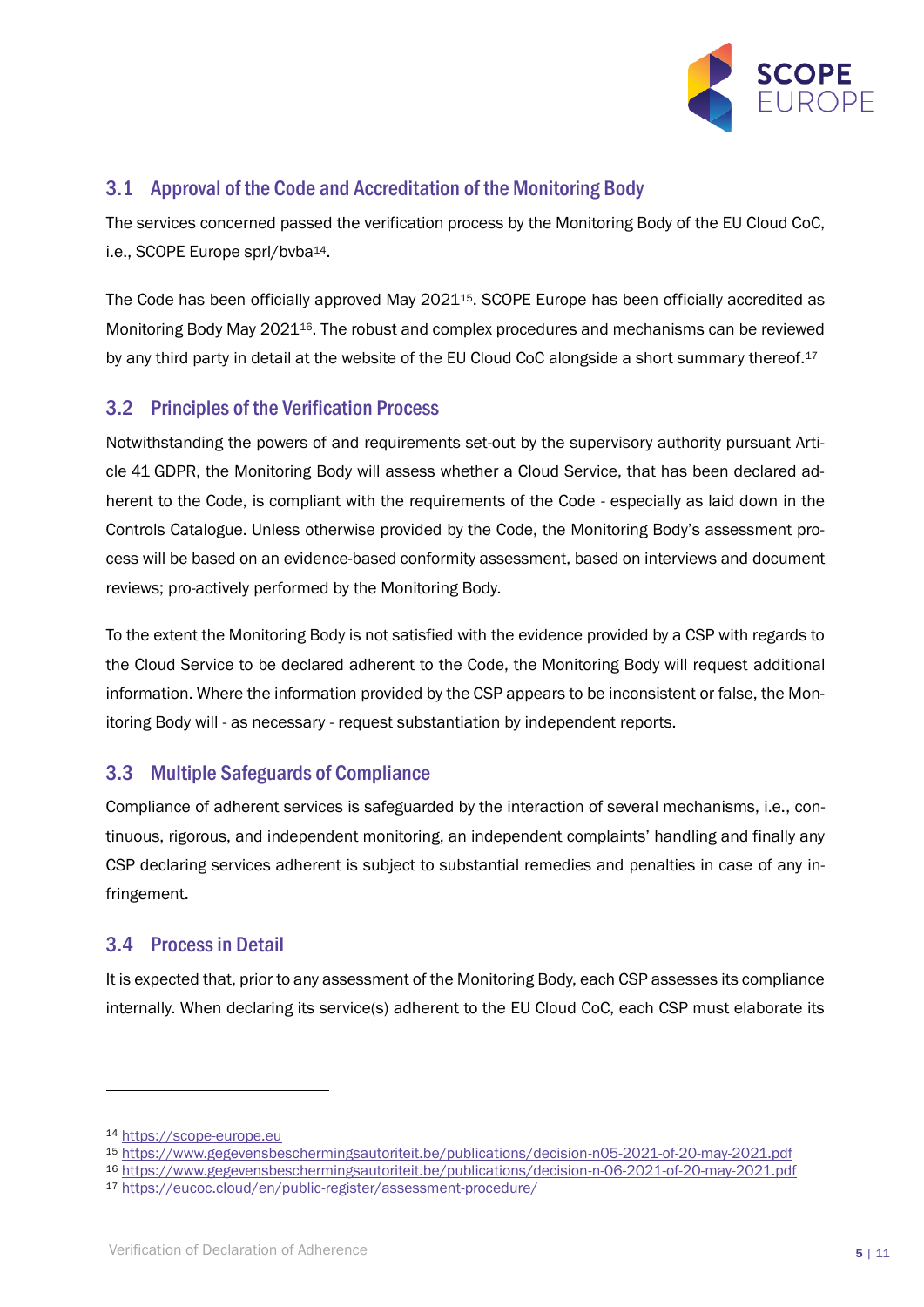

#### <span id="page-4-0"></span>3.1 Approval of the Code and Accreditation of the Monitoring Body

The services concerned passed the verification process by the Monitoring Body of the EU Cloud CoC, i.e., SCOPE Europe sprl/bvba<sup>14</sup>.

The Code has been officially approved May 202115. SCOPE Europe has been officially accredited as Monitoring Body May 202116. The robust and complex procedures and mechanisms can be reviewed by any third party in detail at the website of the EU Cloud CoC alongside a short summary thereof.<sup>17</sup>

#### <span id="page-4-1"></span>3.2 Principles of the Verification Process

Notwithstanding the powers of and requirements set-out by the supervisory authority pursuant Article 41 GDPR, the Monitoring Body will assess whether a Cloud Service, that has been declared adherent to the Code, is compliant with the requirements of the Code - especially as laid down in the Controls Catalogue. Unless otherwise provided by the Code, the Monitoring Body's assessment process will be based on an evidence-based conformity assessment, based on interviews and document reviews; pro-actively performed by the Monitoring Body.

To the extent the Monitoring Body is not satisfied with the evidence provided by a CSP with regards to the Cloud Service to be declared adherent to the Code, the Monitoring Body will request additional information. Where the information provided by the CSP appears to be inconsistent or false, the Monitoring Body will - as necessary - request substantiation by independent reports.

# <span id="page-4-2"></span>3.3 Multiple Safeguards of Compliance

Compliance of adherent services is safeguarded by the interaction of several mechanisms, i.e., continuous, rigorous, and independent monitoring, an independent complaints' handling and finally any CSP declaring services adherent is subject to substantial remedies and penalties in case of any infringement.

#### <span id="page-4-3"></span>3.4 Process in Detail

It is expected that, prior to any assessment of the Monitoring Body, each CSP assesses its compliance internally. When declaring its service(s) adherent to the EU Cloud CoC, each CSP must elaborate its

<sup>14</sup> [https://scope-europe.eu](https://scope-europe.eu/)

<sup>15</sup> <https://www.gegevensbeschermingsautoriteit.be/publications/decision-n05-2021-of-20-may-2021.pdf>

<sup>16</sup> <https://www.gegevensbeschermingsautoriteit.be/publications/decision-n-06-2021-of-20-may-2021.pdf>

<sup>17</sup> <https://eucoc.cloud/en/public-register/assessment-procedure/>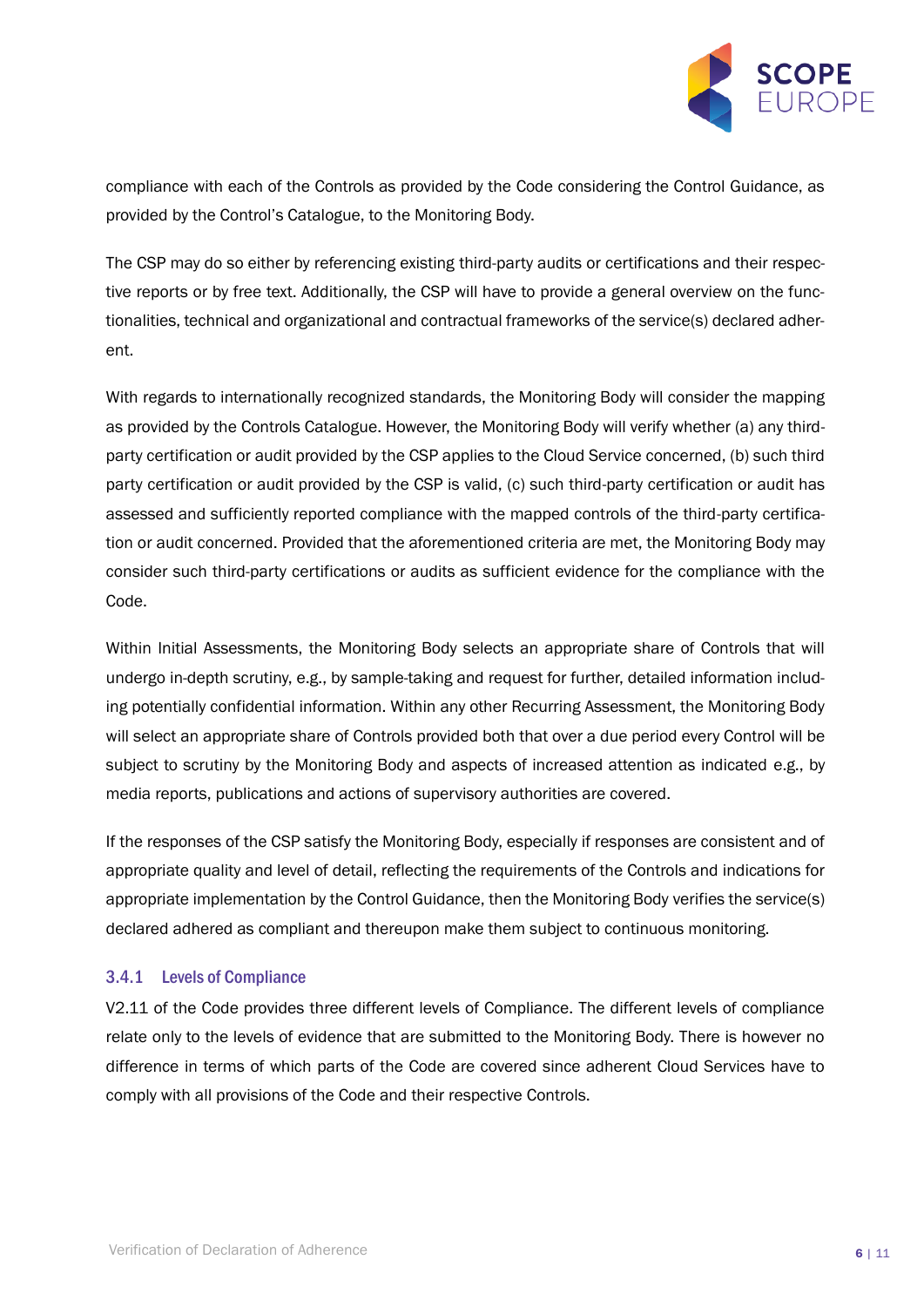

compliance with each of the Controls as provided by the Code considering the Control Guidance, as provided by the Control's Catalogue, to the Monitoring Body.

The CSP may do so either by referencing existing third-party audits or certifications and their respective reports or by free text. Additionally, the CSP will have to provide a general overview on the functionalities, technical and organizational and contractual frameworks of the service(s) declared adherent.

With regards to internationally recognized standards, the Monitoring Body will consider the mapping as provided by the Controls Catalogue. However, the Monitoring Body will verify whether (a) any thirdparty certification or audit provided by the CSP applies to the Cloud Service concerned, (b) such third party certification or audit provided by the CSP is valid, (c) such third-party certification or audit has assessed and sufficiently reported compliance with the mapped controls of the third-party certification or audit concerned. Provided that the aforementioned criteria are met, the Monitoring Body may consider such third-party certifications or audits as sufficient evidence for the compliance with the Code.

Within Initial Assessments, the Monitoring Body selects an appropriate share of Controls that will undergo in-depth scrutiny, e.g., by sample-taking and request for further, detailed information including potentially confidential information. Within any other Recurring Assessment, the Monitoring Body will select an appropriate share of Controls provided both that over a due period every Control will be subject to scrutiny by the Monitoring Body and aspects of increased attention as indicated e.g., by media reports, publications and actions of supervisory authorities are covered.

If the responses of the CSP satisfy the Monitoring Body, especially if responses are consistent and of appropriate quality and level of detail, reflecting the requirements of the Controls and indications for appropriate implementation by the Control Guidance, then the Monitoring Body verifies the service(s) declared adhered as compliant and thereupon make them subject to continuous monitoring.

#### <span id="page-5-0"></span>3.4.1 Levels of Compliance

V2.11 of the Code provides three different levels of Compliance. The different levels of compliance relate only to the levels of evidence that are submitted to the Monitoring Body. There is however no difference in terms of which parts of the Code are covered since adherent Cloud Services have to comply with all provisions of the Code and their respective Controls.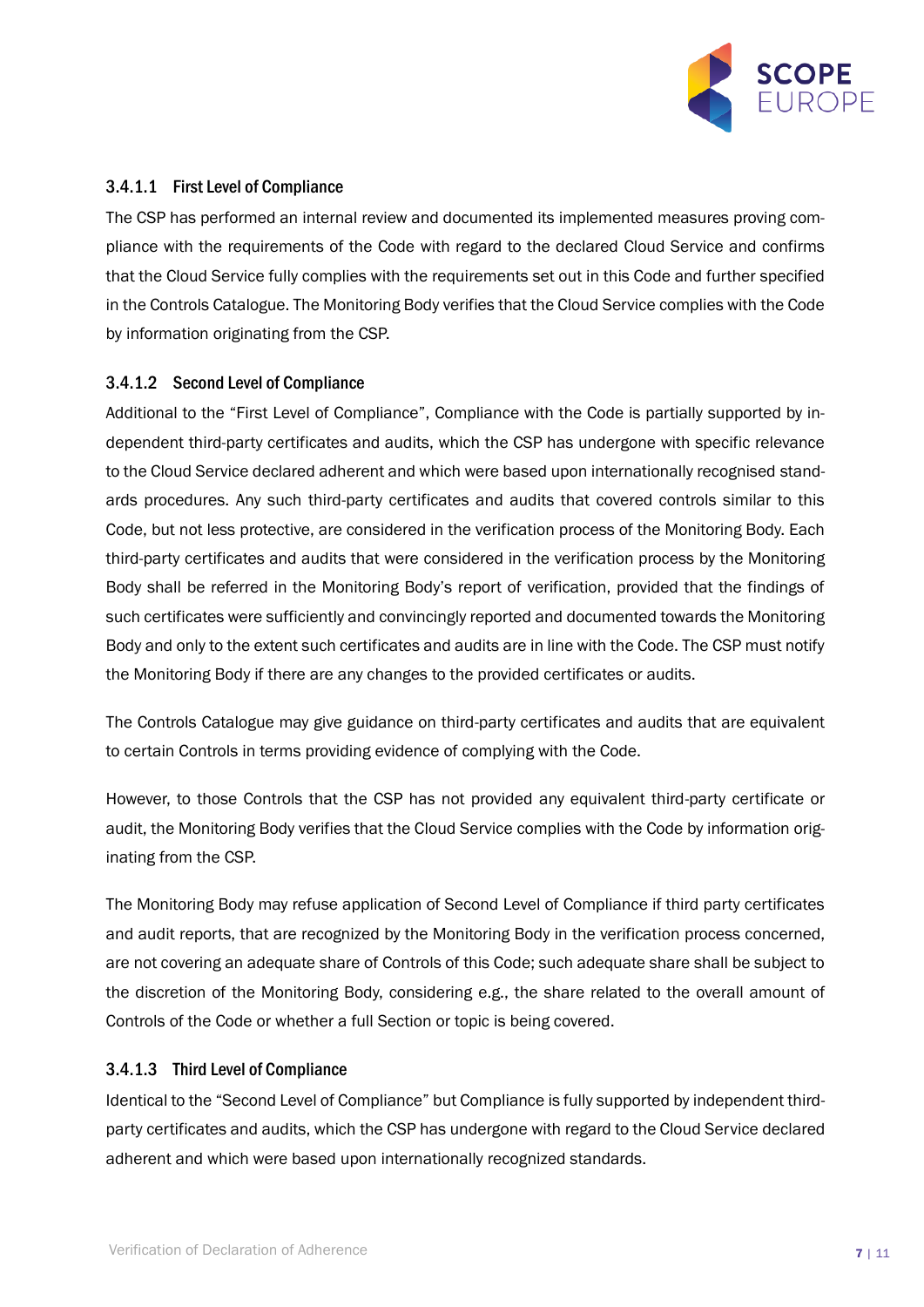

#### 3.4.1.1 First Level of Compliance

The CSP has performed an internal review and documented its implemented measures proving compliance with the requirements of the Code with regard to the declared Cloud Service and confirms that the Cloud Service fully complies with the requirements set out in this Code and further specified in the Controls Catalogue. The Monitoring Body verifies that the Cloud Service complies with the Code by information originating from the CSP.

#### <span id="page-6-0"></span>3.4.1.2 Second Level of Compliance

Additional to the "First Level of Compliance", Compliance with the Code is partially supported by independent third-party certificates and audits, which the CSP has undergone with specific relevance to the Cloud Service declared adherent and which were based upon internationally recognised standards procedures. Any such third-party certificates and audits that covered controls similar to this Code, but not less protective, are considered in the verification process of the Monitoring Body. Each third-party certificates and audits that were considered in the verification process by the Monitoring Body shall be referred in the Monitoring Body's report of verification, provided that the findings of such certificates were sufficiently and convincingly reported and documented towards the Monitoring Body and only to the extent such certificates and audits are in line with the Code. The CSP must notify the Monitoring Body if there are any changes to the provided certificates or audits.

The Controls Catalogue may give guidance on third-party certificates and audits that are equivalent to certain Controls in terms providing evidence of complying with the Code.

However, to those Controls that the CSP has not provided any equivalent third-party certificate or audit, the Monitoring Body verifies that the Cloud Service complies with the Code by information originating from the CSP.

The Monitoring Body may refuse application of Second Level of Compliance if third party certificates and audit reports, that are recognized by the Monitoring Body in the verification process concerned, are not covering an adequate share of Controls of this Code; such adequate share shall be subject to the discretion of the Monitoring Body, considering e.g., the share related to the overall amount of Controls of the Code or whether a full Section or topic is being covered.

#### 3.4.1.3 Third Level of Compliance

Identical to the "Second Level of Compliance" but Compliance is fully supported by independent thirdparty certificates and audits, which the CSP has undergone with regard to the Cloud Service declared adherent and which were based upon internationally recognized standards.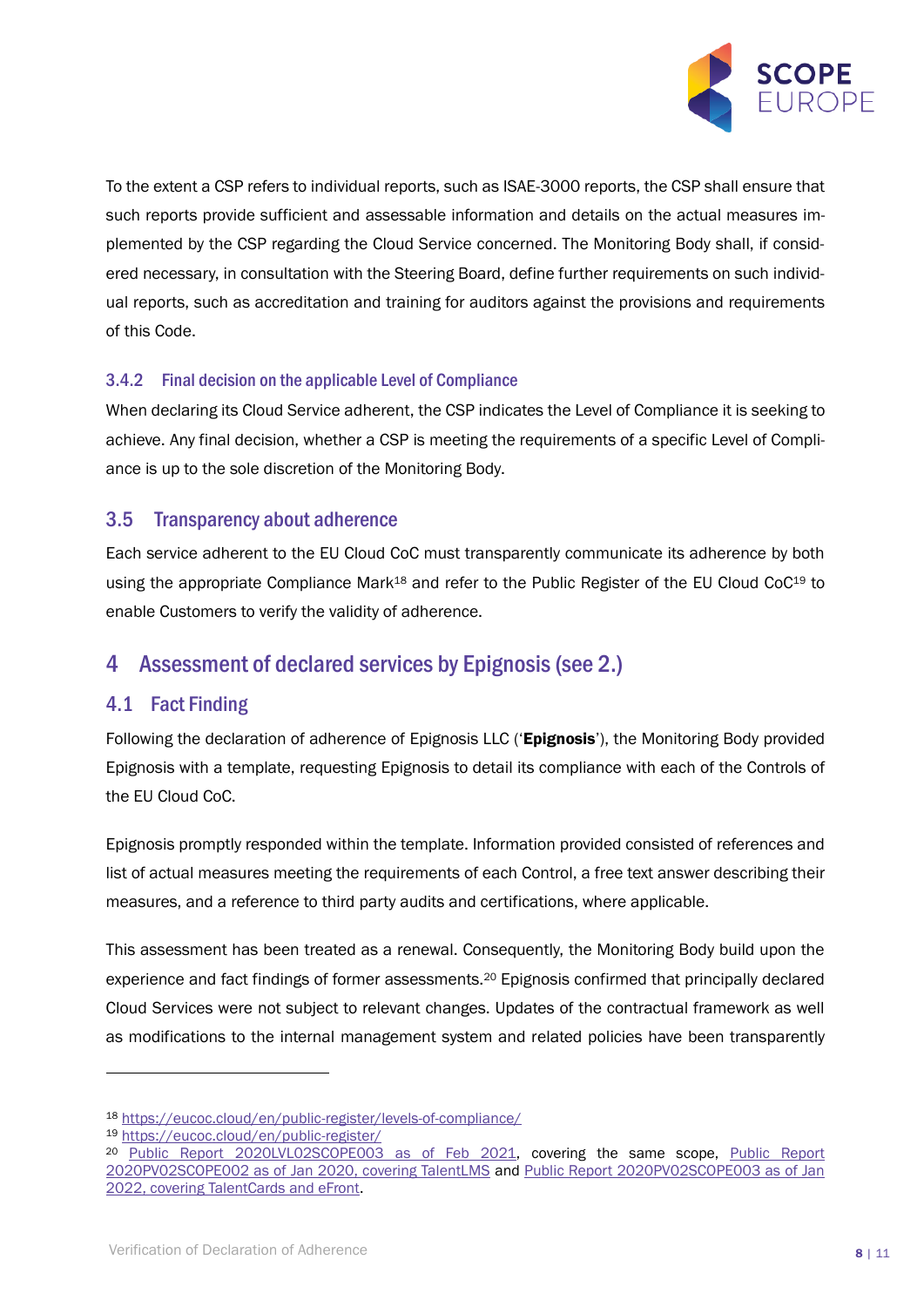

To the extent a CSP refers to individual reports, such as ISAE-3000 reports, the CSP shall ensure that such reports provide sufficient and assessable information and details on the actual measures implemented by the CSP regarding the Cloud Service concerned. The Monitoring Body shall, if considered necessary, in consultation with the Steering Board, define further requirements on such individual reports, such as accreditation and training for auditors against the provisions and requirements of this Code.

#### <span id="page-7-0"></span>3.4.2 Final decision on the applicable Level of Compliance

When declaring its Cloud Service adherent, the CSP indicates the Level of Compliance it is seeking to achieve. Any final decision, whether a CSP is meeting the requirements of a specific Level of Compliance is up to the sole discretion of the Monitoring Body.

#### <span id="page-7-1"></span>3.5 Transparency about adherence

Each service adherent to the EU Cloud CoC must transparently communicate its adherence by both using the appropriate Compliance Mark<sup>18</sup> and refer to the Public Register of the EU Cloud CoC<sup>19</sup> to enable Customers to verify the validity of adherence.

# <span id="page-7-2"></span>4 Assessment of declared services by Epignosis(see [2.](#page-2-1))

#### <span id="page-7-3"></span>4.1 Fact Finding

Following the declaration of adherence of Epignosis LLC ('Epignosis'), the Monitoring Body provided Epignosis with a template, requesting Epignosis to detail its compliance with each of the Controls of the EU Cloud CoC.

Epignosis promptly responded within the template. Information provided consisted of references and list of actual measures meeting the requirements of each Control, a free text answer describing their measures, and a reference to third party audits and certifications, where applicable.

This assessment has been treated as a renewal. Consequently, the Monitoring Body build upon the experience and fact findings of former assessments.<sup>20</sup> Epignosis confirmed that principally declared Cloud Services were not subject to relevant changes. Updates of the contractual framework as well as modifications to the internal management system and related policies have been transparently

<sup>18</sup> <https://eucoc.cloud/en/public-register/levels-of-compliance/>

<sup>19</sup> <https://eucoc.cloud/en/public-register/>

<sup>20</sup> [Public Report 2020LVL02SCOPE003](https://eucoc.cloud/fileadmin/cloud-coc/files/reports/202102_ReportVerificationDoA_Epignosis_2020LVL02SCOPE003.pdf) as of Feb 2021, covering the same scope, [Public Report](https://eucoc.cloud/fileadmin/cloud-coc/files/reports/202001_ReportVerificationDoA_Epignosis_2020PV02SCOPE002.pdf)  [2020PV02SCOPE002 as of Jan 2020, covering TalentLMS](https://eucoc.cloud/fileadmin/cloud-coc/files/reports/202001_ReportVerificationDoA_Epignosis_2020PV02SCOPE002.pdf) and [Public Report 2020PV02SCOPE003 as of Jan](https://eucoc.cloud/fileadmin/cloud-coc/files/reports/202001_ReportVerificationDoA_Epignosis_2020PV02SCOPE002.pdf)  [2022, covering TalentCards and eFront.](https://eucoc.cloud/fileadmin/cloud-coc/files/reports/202001_ReportVerificationDoA_Epignosis_2020PV02SCOPE002.pdf)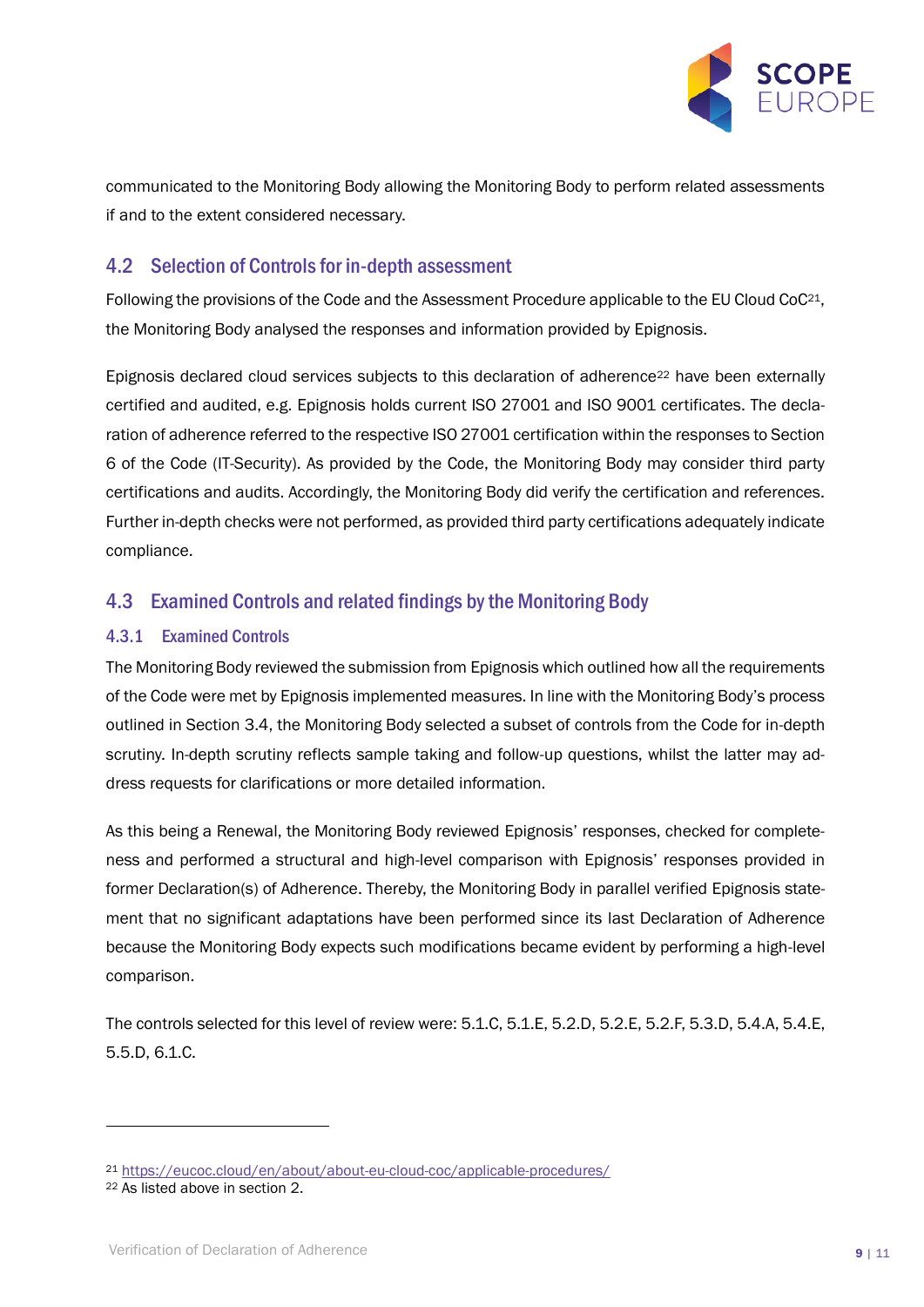

communicated to the Monitoring Body allowing the Monitoring Body to perform related assessments if and to the extent considered necessary.

#### <span id="page-8-0"></span>4.2 Selection of Controls for in-depth assessment

Following the provisions of the Code and the Assessment Procedure applicable to the EU Cloud CoC<sup>21</sup>, the Monitoring Body analysed the responses and information provided by Epignosis.

Epignosis declared cloud services subjects to this declaration of adherence<sup>22</sup> have been externally certified and audited, e.g. Epignosis holds current ISO 27001 and ISO 9001 certificates. The declaration of adherence referred to the respective ISO 27001 certification within the responses to Section 6 of the Code (IT-Security). As provided by the Code, the Monitoring Body may consider third party certifications and audits. Accordingly, the Monitoring Body did verify the certification and references. Further in-depth checks were not performed, as provided third party certifications adequately indicate compliance.

# <span id="page-8-1"></span>4.3 Examined Controls and related findings by the Monitoring Body

#### <span id="page-8-2"></span>4.3.1 Examined Controls

The Monitoring Body reviewed the submission from Epignosis which outlined how all the requirements of the Code were met by Epignosis implemented measures. In line with the Monitoring Body's process outlined in Section [3.4,](#page-4-3) the Monitoring Body selected a subset of controls from the Code for in-depth scrutiny. In-depth scrutiny reflects sample taking and follow-up questions, whilst the latter may address requests for clarifications or more detailed information.

As this being a Renewal, the Monitoring Body reviewed Epignosis' responses, checked for completeness and performed a structural and high-level comparison with Epignosis' responses provided in former Declaration(s) of Adherence. Thereby, the Monitoring Body in parallel verified Epignosis statement that no significant adaptations have been performed since its last Declaration of Adherence because the Monitoring Body expects such modifications became evident by performing a high-level comparison.

The controls selected for this level of review were: 5.1.C, 5.1.E, 5.2.D, 5.2.E, 5.2.F, 5.3.D, 5.4.A, 5.4.E, 5.5.D, 6.1.C.

<sup>21</sup> <https://eucoc.cloud/en/about/about-eu-cloud-coc/applicable-procedures/>

<sup>22</sup> As listed above in section [2.](#page-2-1)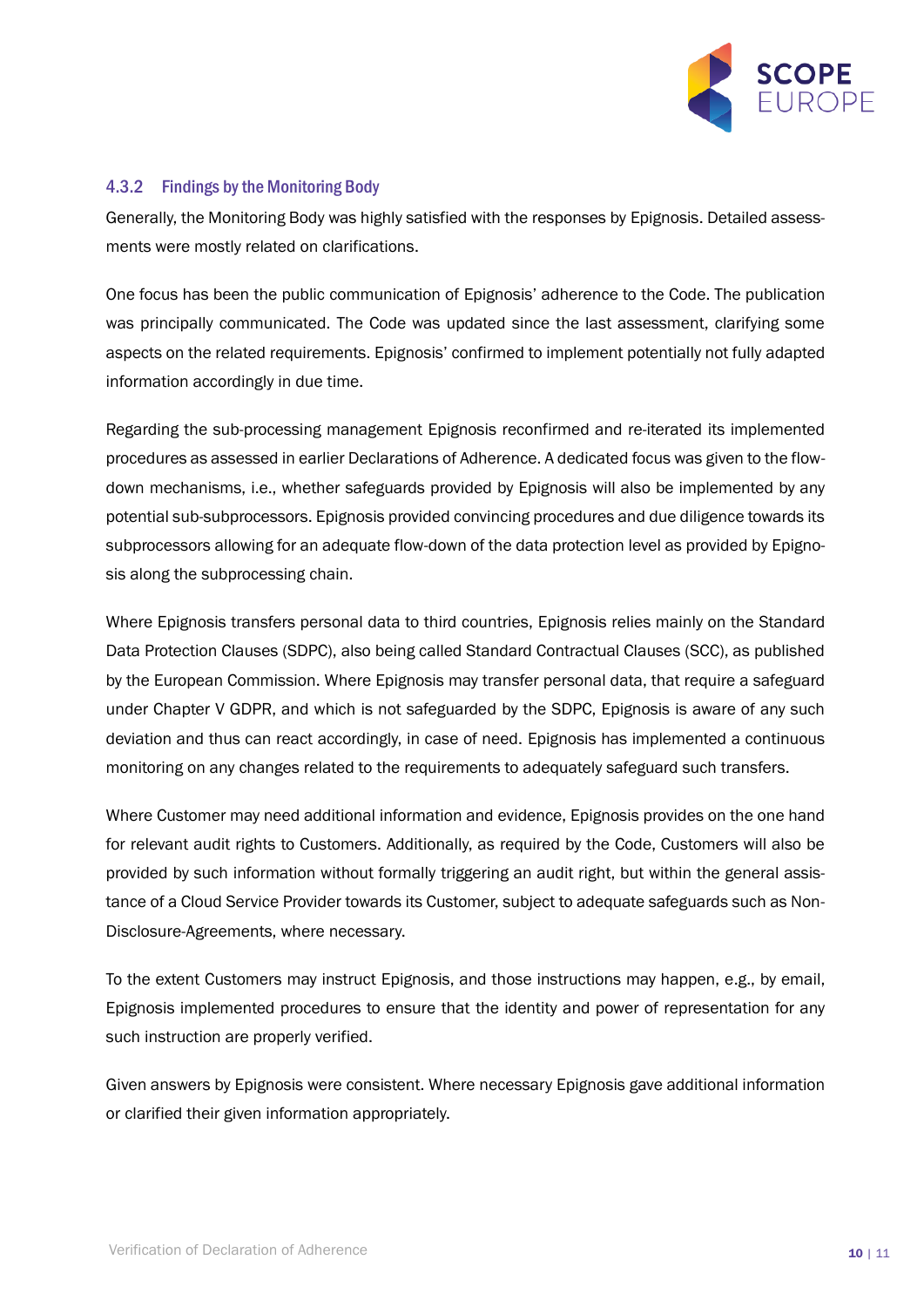

#### <span id="page-9-0"></span>4.3.2 Findings by the Monitoring Body

Generally, the Monitoring Body was highly satisfied with the responses by Epignosis. Detailed assessments were mostly related on clarifications.

One focus has been the public communication of Epignosis' adherence to the Code. The publication was principally communicated. The Code was updated since the last assessment, clarifying some aspects on the related requirements. Epignosis' confirmed to implement potentially not fully adapted information accordingly in due time.

Regarding the sub-processing management Epignosis reconfirmed and re-iterated its implemented procedures as assessed in earlier Declarations of Adherence. A dedicated focus was given to the flowdown mechanisms, i.e., whether safeguards provided by Epignosis will also be implemented by any potential sub-subprocessors. Epignosis provided convincing procedures and due diligence towards its subprocessors allowing for an adequate flow-down of the data protection level as provided by Epignosis along the subprocessing chain.

Where Epignosis transfers personal data to third countries, Epignosis relies mainly on the Standard Data Protection Clauses (SDPC), also being called Standard Contractual Clauses (SCC), as published by the European Commission. Where Epignosis may transfer personal data, that require a safeguard under Chapter V GDPR, and which is not safeguarded by the SDPC, Epignosis is aware of any such deviation and thus can react accordingly, in case of need. Epignosis has implemented a continuous monitoring on any changes related to the requirements to adequately safeguard such transfers.

Where Customer may need additional information and evidence, Epignosis provides on the one hand for relevant audit rights to Customers. Additionally, as required by the Code, Customers will also be provided by such information without formally triggering an audit right, but within the general assistance of a Cloud Service Provider towards its Customer, subject to adequate safeguards such as Non-Disclosure-Agreements, where necessary.

To the extent Customers may instruct Epignosis, and those instructions may happen, e.g., by email, Epignosis implemented procedures to ensure that the identity and power of representation for any such instruction are properly verified.

Given answers by Epignosis were consistent. Where necessary Epignosis gave additional information or clarified their given information appropriately.